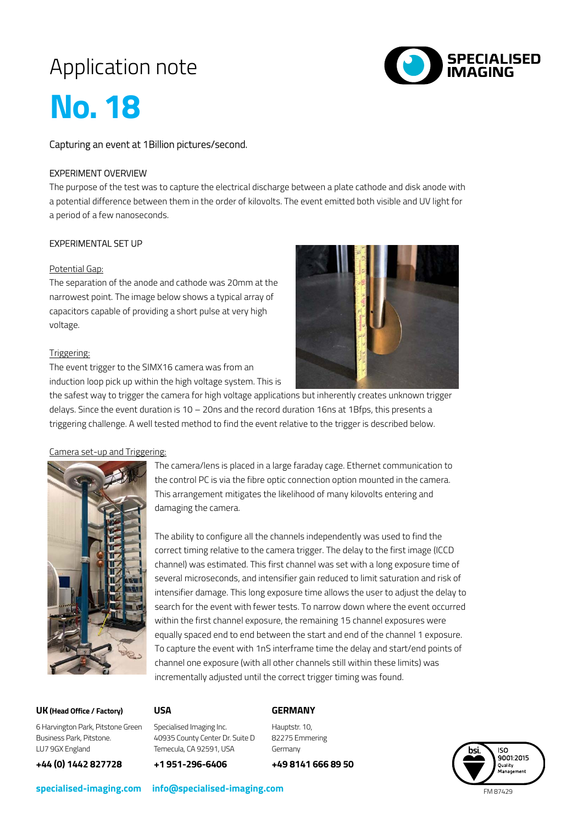# Application note



# **No. 18**

Capturing an event at 1Billion pictures/second.

## EXPERIMENT OVERVIEW

The purpose of the test was to capture the electrical discharge between a plate cathode and disk anode with a potential difference between them in the order of kilovolts. The event emitted both visible and UV light for a period of a few nanoseconds.

# EXPERIMENTAL SET UP

#### Potential Gap:

The separation of the anode and cathode was 20mm at the narrowest point. The image below shows a typical array of capacitors capable of providing a short pulse at very high voltage.

#### Triggering:

The event trigger to the SIMX16 camera was from an induction loop pick up within the high voltage system. This is



the safest way to trigger the camera for high voltage applications but inherently creates unknown trigger delays. Since the event duration is 10 – 20ns and the record duration 16ns at 1Bfps, this presents a triggering challenge. A well tested method to find the event relative to the trigger is described below.

#### Camera set-up and Triggering:



The camera/lens is placed in a large faraday cage. Ethernet communication to the control PC is via the fibre optic connection option mounted in the camera. This arrangement mitigates the likelihood of many kilovolts entering and damaging the camera.

The ability to configure all the channels independently was used to find the correct timing relative to the camera trigger. The delay to the first image (ICCD channel) was estimated. This first channel was set with a long exposure time of several microseconds, and intensifier gain reduced to limit saturation and risk of intensifier damage. This long exposure time allows the user to adjust the delay to search for the event with fewer tests. To narrow down where the event occurred within the first channel exposure, the remaining 15 channel exposures were equally spaced end to end between the start and end of the channel 1 exposure. To capture the event with 1nS interframe time the delay and start/end points of channel one exposure (with all other channels still within these limits) was incrementally adjusted until the correct trigger timing was found.

#### **UK(Head Office / Factory)**

#### **USA**

## **GERMANY**

6 Harvington Park, Pitstone Green Business Park, Pitstone. LU7 9GX England

**+44 (0) 1442 827728**

Specialised Imaging Inc. 40935 County Center Dr. Suite D Temecula, CA 92591, USA

**+1 951-296-6406**

Hauptstr. 10, 82275 Emmering Germany

**+49 8141 666 89 50**



**specialised-imaging.com info@specialised-imaging.com**